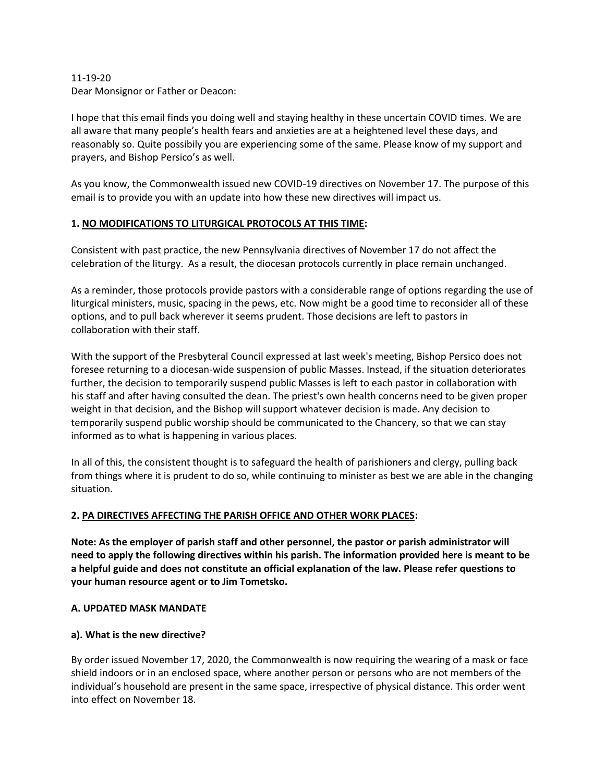#### 11-19-20 Dear Monsignor or Father or Deacon:

I hope that this email finds you doing well and staying healthy in these uncertain COVID times. We are all aware that many people's health fears and anxieties are at a heightened level these days, and reasonably so. Quite possibily you are experiencing some of the same. Please know of my support and prayers, and Bishop Persico's as well.

As you know, the Commonwealth issued new COVID-19 directives on November 17. The purpose of this email is to provide you with an update into how these new directives will impact us.

# **1. NO MODIFICATIONS TO LITURGICAL PROTOCOLS AT THIS TIME:**

Consistent with past practice, the new Pennsylvania directives of November 17 do not affect the celebration of the liturgy. As a result, the diocesan protocols currently in place remain unchanged.

As a reminder, those protocols provide pastors with a considerable range of options regarding the use of liturgical ministers, music, spacing in the pews, etc. Now might be a good time to reconsider all of these options, and to pull back wherever it seems prudent. Those decisions are left to pastors in collaboration with their staff.

With the support of the Presbyteral Council expressed at last week's meeting, Bishop Persico does not foresee returning to a diocesan-wide suspension of public Masses. Instead, if the situation deteriorates further, the decision to temporarily suspend public Masses is left to each pastor in collaboration with his staff and after having consulted the dean. The priest's own health concerns need to be given proper weight in that decision, and the Bishop will support whatever decision is made. Any decision to temporarily suspend public worship should be communicated to the Chancery, so that we can stay informed as to what is happening in various places.

In all of this, the consistent thought is to safeguard the health of parishioners and clergy, pulling back from things where it is prudent to do so, while continuing to minister as best we are able in the changing situation.

### **2. PA DIRECTIVES AFFECTING THE PARISH OFFICE AND OTHER WORK PLACES:**

**Note: As the employer of parish staff and other personnel, the pastor or parish administrator will need to apply the following directives within his parish. The information provided here is meant to be a helpful guide and does not constitute an official explanation of the law. Please refer questions to your human resource agent or to Jim Tometsko.**

### **A. UPDATED MASK MANDATE**

### **a). What is the new directive?**

By order issued November 17, 2020, the Commonwealth is now requiring the wearing of a mask or face shield indoors or in an enclosed space, where another person or persons who are not members of the individual's household are present in the same space, irrespective of physical distance. This order went into effect on November 18.